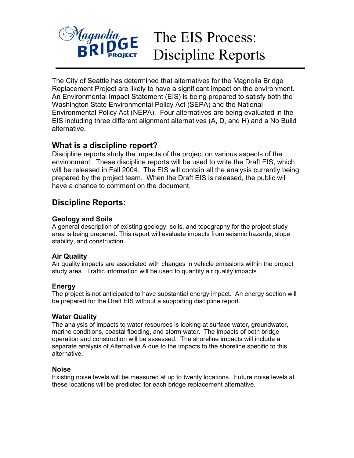

# The EIS Process: Discipline Reports

The City of Seattle has determined that alternatives for the Magnolia Bridge Replacement Project are likely to have a significant impact on the environment. An Environmental Impact Statement (EIS) is being prepared to satisfy both the Washington State Environmental Policy Act (SEPA) and the National Environmental Policy Act (NEPA). Four alternatives are being evaluated in the EIS including three different alignment alternatives (A, D, and H) and a No Build alternative.

## **What is a discipline report?**

Discipline reports study the impacts of the project on various aspects of the environment. These discipline reports will be used to write the Draft EIS, which will be released in Fall 2004. The EIS will contain all the analysis currently being prepared by the project team. When the Draft EIS is released, the public will have a chance to comment on the document.

# **Discipline Reports:**

#### **Geology and Soils**

A general description of existing geology, soils, and topography for the project study area is being prepared. This report will evaluate impacts from seismic hazards, slope stability, and construction.

### **Air Quality**

Air quality impacts are associated with changes in vehicle emissions within the project study area. Traffic information will be used to quantify air quality impacts.

#### **Energy**

The project is not anticipated to have substantial energy impact. An energy section will be prepared for the Draft EIS without a supporting discipline report.

#### **Water Quality**

The analysis of impacts to water resources is looking at surface water, groundwater, marine conditions, coastal flooding, and storm water. The impacts of both bridge operation and construction will be assessed. The shoreline impacts will include a separate analysis of Alternative A due to the impacts to the shoreline specific to this alternative.

#### **Noise**

Existing noise levels will be measured at up to twenty locations. Future noise levels at these locations will be predicted for each bridge replacement alternative.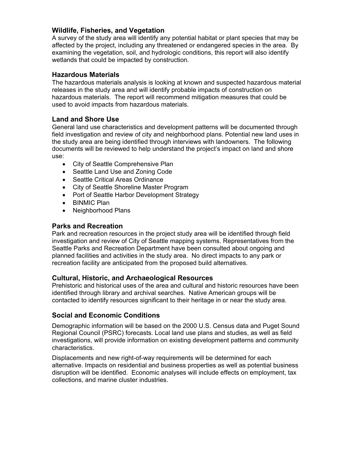#### **Wildlife, Fisheries, and Vegetation**

A survey of the study area will identify any potential habitat or plant species that may be affected by the project, including any threatened or endangered species in the area. By examining the vegetation, soil, and hydrologic conditions, this report will also identify wetlands that could be impacted by construction.

#### **Hazardous Materials**

The hazardous materials analysis is looking at known and suspected hazardous material releases in the study area and will identify probable impacts of construction on hazardous materials. The report will recommend mitigation measures that could be used to avoid impacts from hazardous materials.

#### **Land and Shore Use**

General land use characteristics and development patterns will be documented through field investigation and review of city and neighborhood plans. Potential new land uses in the study area are being identified through interviews with landowners. The following documents will be reviewed to help understand the project's impact on land and shore use:

- City of Seattle Comprehensive Plan
- Seattle Land Use and Zoning Code
- Seattle Critical Areas Ordinance
- City of Seattle Shoreline Master Program
- Port of Seattle Harbor Development Strategy
- BINMIC Plan
- Neighborhood Plans

#### **Parks and Recreation**

Park and recreation resources in the project study area will be identified through field investigation and review of City of Seattle mapping systems. Representatives from the Seattle Parks and Recreation Department have been consulted about ongoing and planned facilities and activities in the study area. No direct impacts to any park or recreation facility are anticipated from the proposed build alternatives.

#### **Cultural, Historic, and Archaeological Resources**

Prehistoric and historical uses of the area and cultural and historic resources have been identified through library and archival searches. Native American groups will be contacted to identify resources significant to their heritage in or near the study area.

#### **Social and Economic Conditions**

Demographic information will be based on the 2000 U.S. Census data and Puget Sound Regional Council (PSRC) forecasts. Local land use plans and studies, as well as field investigations, will provide information on existing development patterns and community characteristics.

Displacements and new right-of-way requirements will be determined for each alternative. Impacts on residential and business properties as well as potential business disruption will be identified. Economic analyses will include effects on employment, tax collections, and marine cluster industries.